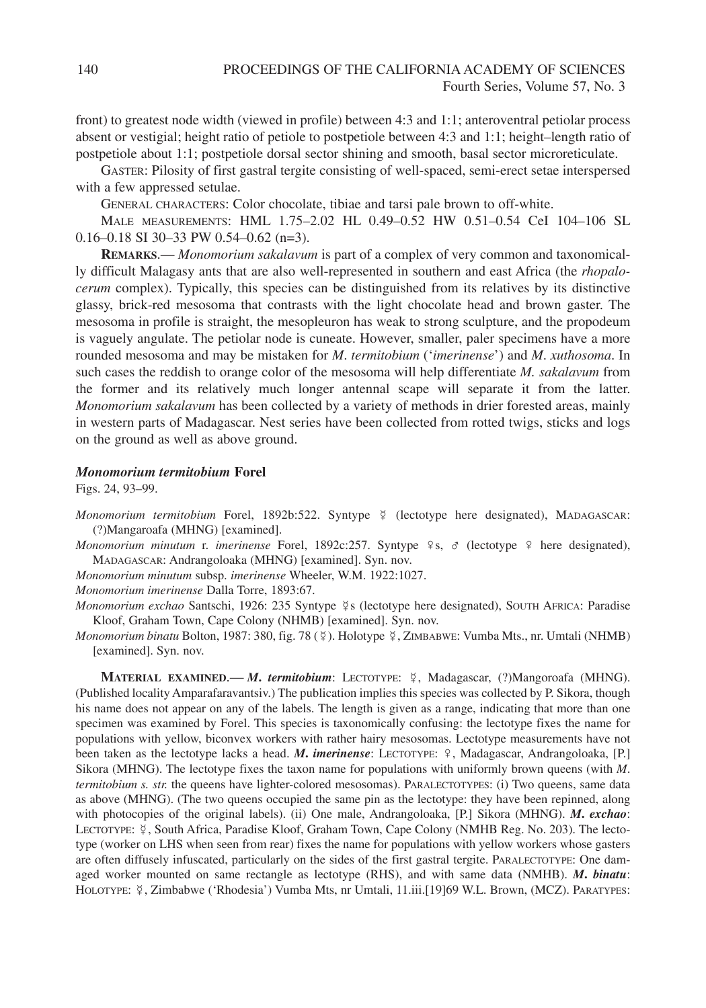front) to greatest node width (viewed in profile) between 4:3 and 1:1; anteroventral petiolar process absent or vestigial; height ratio of petiole to postpetiole between 4:3 and 1:1; height–length ratio of postpetiole about 1:1; postpetiole dorsal sector shining and smooth, basal sector microreticulate.

GASTER: Pilosity of first gastral tergite consisting of well-spaced, semi-erect setae interspersed with a few appressed setulae.

GENERAL CHARACTERS: Color chocolate, tibiae and tarsi pale brown to off-white.

MALE MEASUREMENTS: HML 1.75–2.02 HL 0.49–0.52 HW 0.51–0.54 CeI 104–106 SL 0.16–0.18 SI 30–33 PW 0.54–0.62 (n=3).

**REMARKS**.— *Monomorium sakalavum* is part of a complex of very common and taxonomically difficult Malagasy ants that are also well-represented in southern and east Africa (the *rhopalocerum* complex). Typically, this species can be distinguished from its relatives by its distinctive glassy, brick-red mesosoma that contrasts with the light chocolate head and brown gaster. The mesosoma in profile is straight, the mesopleuron has weak to strong sculpture, and the propodeum is vaguely angulate. The petiolar node is cuneate. However, smaller, paler specimens have a more rounded mesosoma and may be mistaken for *M*. *termitobium* ('*imerinense*') and *M*. *xuthosoma*. In such cases the reddish to orange color of the mesosoma will help differentiate *M. sakalavum* from the former and its relatively much longer antennal scape will separate it from the latter. *Monomorium sakalavum* has been collected by a variety of methods in drier forested areas, mainly in western parts of Madagascar. Nest series have been collected from rotted twigs, sticks and logs on the ground as well as above ground.

## *Monomorium termitobium* **Forel**

Figs. 24, 93–99.

Monomorium termitobium Forel, 1892b:522. Syntype ¥ (lectotype here designated), MADAGASCAR: (?)Mangaroafa (MHNG) [examined].

*Monomorium minutum* r. *imerinense* Forel, 1892c:257. Syntype ♀s, ♂ (lectotype ♀ here designated), MADAGASCAR: Andrangoloaka (MHNG) [examined]. Syn. nov.

*Monomorium minutum* subsp. *imerinense* Wheeler, W.M. 1922:1027.

*Monomorium imerinense* Dalla Torre, 1893:67.

Monomorium exchao Santschi, 1926: 235 Syntype ¥s (lectotype here designated), SOUTH AFRICA: Paradise Kloof, Graham Town, Cape Colony (NHMB) [examined]. Syn. nov.

Monomorium binatu Bolton, 1987: 380, fig. 78 (\mata). Holotype \timas XLMBABWE: Vumba Mts., nr. Umtali (NHMB) [examined]. Syn. nov.

**MATERIAL EXAMINED**.— *M***.** *termitobium*: LECTOTYPE: , Madagascar, (?)Mangoroafa (MHNG). (Published locality Amparafaravantsiv.) The publication implies this species was collected by P. Sikora, though his name does not appear on any of the labels. The length is given as a range, indicating that more than one specimen was examined by Forel. This species is taxonomically confusing: the lectotype fixes the name for populations with yellow, biconvex workers with rather hairy mesosomas. Lectotype measurements have not been taken as the lectotype lacks a head. *M***.** *imerinense*: LECTOTYPE: ♀, Madagascar, Andrangoloaka, [P.] Sikora (MHNG). The lectotype fixes the taxon name for populations with uniformly brown queens (with *M*. *termitobium s. str.* the queens have lighter-colored mesosomas). PARALECTOTYPES: (i) Two queens, same data as above (MHNG). (The two queens occupied the same pin as the lectotype: they have been repinned, along with photocopies of the original labels). (ii) One male, Andrangoloaka, [P.] Sikora (MHNG). *M***.** *exchao*: LECTOTYPE:  $\frac{5}{7}$ , South Africa, Paradise Kloof, Graham Town, Cape Colony (NMHB Reg. No. 203). The lectotype (worker on LHS when seen from rear) fixes the name for populations with yellow workers whose gasters are often diffusely infuscated, particularly on the sides of the first gastral tergite. PARALECTOTYPE: One damaged worker mounted on same rectangle as lectotype (RHS), and with same data (NMHB). *M***.** *binatu*: HOLOTYPE: ½, Zimbabwe ('Rhodesia') Vumba Mts, nr Umtali, 11.iii.[19]69 W.L. Brown, (MCZ). PARATYPES: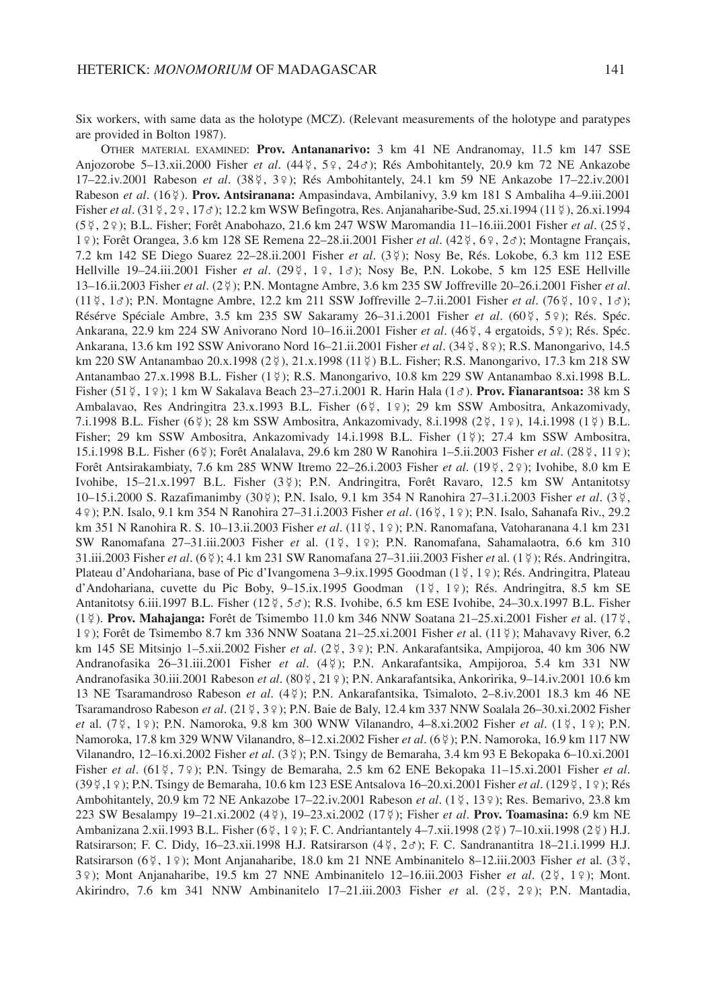Six workers, with same data as the holotype (MCZ). (Relevant measurements of the holotype and paratypes are provided in Bolton 1987).

OTHER MATERIAL EXAMINED: **Prov. Antananarivo:** 3 km 41 NE Andranomay, 11.5 km 147 SSE Anjozorobe 5–13.xii.2000 Fisher *et al*. (44 , 5♀, 24♂); Rés Ambohitantely, 20.9 km 72 NE Ankazobe 17-22.iv.2001 Rabeson *et al.* (38 ¤, 3 º); Rés Ambohitantely, 24.1 km 59 NE Ankazobe 17-22.iv.2001 Rabeson *et al*. (16 ). **Prov. Antsiranana:** Ampasindava, Ambilanivy, 3.9 km 181 S Ambaliha 4–9.iii.2001 Fisher *et al.* (31 ¥, 2 º, 17*∂*); 12.2 km WSW Befingotra, Res. Anjanaharibe-Sud, 25.xi.1994 (11 ¥), 26.xi.1994 (5 , 2♀); B.L. Fisher; Forêt Anabohazo, 21.6 km 247 WSW Maromandia 11–16.iii.2001 Fisher *et al*. (25 , 1♀); Forêt Orangea, 3.6 km 128 SE Remena 22–28.ii.2001 Fisher *et al*. (42 , 6♀, 2♂); Montagne Français, 7.2 km 142 SE Diego Suarez 22–28.ii.2001 Fisher *et al*. (3 ); Nosy Be, Rés. Lokobe, 6.3 km 112 ESE Hellville 19–24.iii.2001 Fisher *et al.* (29 ¥, 1 °, 1 ∂); Nosy Be, P.N. Lokobe, 5 km 125 ESE Hellville 13–16.ii.2003 Fisher *et al*. (2 ); P.N. Montagne Ambre, 3.6 km 235 SW Joffreville 20–26.i.2001 Fisher *et al*. (11 , 1♂); P.N. Montagne Ambre, 12.2 km 211 SSW Joffreville 2–7.ii.2001 Fisher *et al*. (76 , 10♀, 1♂); Résérve Spéciale Ambre, 3.5 km 235 SW Sakaramy 26-31.i.2001 Fisher et al. (60 ¥, 5 º); Rés. Spéc. Ankarana, 22.9 km 224 SW Anivorano Nord 10-16.ii.2001 Fisher et al. (46 ¤, 4 ergatoids, 5 º); Rés. Spéc. Ankarana, 13.6 km 192 SSW Anivorano Nord 16–21.ii.2001 Fisher *et al*. (34 , 8♀); R.S. Manongarivo, 14.5 km 220 SW Antanambao 20.x.1998 (2 º ap. 21.x.1998 (11 º ap. 11 ° in B.D. Fisher; R.S. Manongarivo, 17.3 km 218 SW Antanambao 27.x.1998 B.L. Fisher (1 ); R.S. Manongarivo, 10.8 km 229 SW Antanambao 8.xi.1998 B.L. Fisher (51 , 1♀); 1 km W Sakalava Beach 23–27.i.2001 R. Harin Hala (1♂). **Prov. Fianarantsoa:** 38 km S Ambalavao, Res Andringitra 23.x.1993 B.L. Fisher (6¥, 1º); 29 km SSW Ambositra, Ankazomivady, 7.i.1998 B.L. Fisher (6¥); 28 km SSW Ambositra, Ankazomivady, 8.i.1998 (2¥, 1♀), 14.i.1998 (1¥) B.L. Fisher; 29 km SSW Ambositra, Ankazomivady 14.i.1998 B.L. Fisher (1\2); 27.4 km SSW Ambositra, 15.i.1998 B.L. Fisher (6 ); Forêt Analalava, 29.6 km 280 W Ranohira 1–5.ii.2003 Fisher *et al*. (28 , 11♀); Forêt Antsirakambiaty, 7.6 km 285 WNW Itremo 22–26.i.2003 Fisher *et al*. (19 , 2♀); Ivohibe, 8.0 km E Ivohibe, 15–21.x.1997 B.L. Fisher (3 ); P.N. Andringitra, Forêt Ravaro, 12.5 km SW Antanitotsy 10–15.i.2000 S. Razafimanimby (30 ); P.N. Isalo, 9.1 km 354 N Ranohira 27–31.i.2003 Fisher *et al*. (3 , 4♀); P.N. Isalo, 9.1 km 354 N Ranohira 27–31.i.2003 Fisher *et al*. (16 , 1♀); P.N. Isalo, Sahanafa Riv., 29.2 km 351 N Ranohira R. S. 10–13.ii.2003 Fisher *et al.* (11 ¤, 1 २); P.N. Ranomafana, Vatoharanana 4.1 km 231 SW Ranomafana 27–31.iii.2003 Fisher *et* al. (1 , 1♀); P.N. Ranomafana, Sahamalaotra, 6.6 km 310 31.iii.2003 Fisher *et al*. (6 ); 4.1 km 231 SW Ranomafana 27–31.iii.2003 Fisher *et* al. (1 ); Rés. Andringitra, Plateau d'Andohariana, base of Pic d'Ivangomena 3–9.ix.1995 Goodman (1 ¥, 1 º ); Rés. Andringitra, Plateau d'Andohariana, cuvette du Pic Boby, 9-15.ix.1995 Goodman (1½, 1º); Rés. Andringitra, 8.5 km SE Antanitotsy 6.iii.1997 B.L. Fisher (12 ¤, 5 o ;); R.S. Ivohibe, 6.5 km ESE Ivohibe, 24–30.x.1997 B.L. Fisher (1 ). **Prov. Mahajanga:** Forêt de Tsimembo 11.0 km 346 NNW Soatana 21–25.xi.2001 Fisher *et* al. (17 , 1♀); Forêt de Tsimembo 8.7 km 336 NNW Soatana 21–25.xi.2001 Fisher *et* al. (11 ); Mahavavy River, 6.2 km 145 SE Mitsinjo 1–5.xii.2002 Fisher *et al*. (2 , 3♀); P.N. Ankarafantsika, Ampijoroa, 40 km 306 NW Andranofasika 26–31.iii.2001 Fisher *et al*. (4 ); P.N. Ankarafantsika, Ampijoroa, 5.4 km 331 NW Andranofasika 30.iii.2001 Rabeson *et al*. (80 , 21♀); P.N. Ankarafantsika, Ankoririka, 9–14.iv.2001 10.6 km 13 NE Tsaramandroso Rabeson *et al*. (4 ); P.N. Ankarafantsika, Tsimaloto, 2–8.iv.2001 18.3 km 46 NE Tsaramandroso Rabeson *et al.* (21 \times, 3 \ctarrow); P.N. Baie de Baly, 12.4 km 337 NNW Soalala 26–30.xi.2002 Fisher *et* al. (7\2, 1\2); P.N. Namoroka, 9.8 km 300 WNW Vilanandro, 4–8.xi.2002 Fisher *et al.* (1\2, 1\2); P.N. Namoroka, 17.8 km 329 WNW Vilanandro, 8–12.xi.2002 Fisher *et al*. (6 ); P.N. Namoroka, 16.9 km 117 NW Vilanandro, 12–16.xi.2002 Fisher *et al*. (3 ); P.N. Tsingy de Bemaraha, 3.4 km 93 E Bekopaka 6–10.xi.2001 Fisher *et al*. (61 , 7♀); P.N. Tsingy de Bemaraha, 2.5 km 62 ENE Bekopaka 11–15.xi.2001 Fisher *et al*. (39 ,1♀); P.N. Tsingy de Bemaraha, 10.6 km 123 ESE Antsalova 16–20.xi.2001 Fisher *et al*. (129 , 1♀); Rés Ambohitantely, 20.9 km 72 NE Ankazobe 17–22.iv.2001 Rabeson *et al*. (1 , 13♀); Res. Bemarivo, 23.8 km 223 SW Besalampy 19–21.xi.2002 (4 ), 19–23.xi.2002 (17 ); Fisher *et al*. **Prov. Toamasina:** 6.9 km NE Ambanizana 2.xii.1993 B.L. Fisher (6 ¥ , 1 º ); F. C. Andriantantely 4-7.xii.1998 (2 ₹ ) 7-10.xii.1998 (2 ₹ ) H.J. Ratsirarson; F. C. Didy, 16-23.xii.1998 H.J. Ratsirarson (4  $\frac{1}{7}$ , 2 $\sigma$ ); F. C. Sandranantitra 18-21.i.1999 H.J. Ratsirarson (6½, 1º); Mont Anjanaharibe, 18.0 km 21 NNE Ambinanitelo 8-12.iii.2003 Fisher et al. (3½, 3 ° ); Mont Anjanaharibe, 19.5 km 27 NNE Ambinanitelo 12–16.iii.2003 Fisher *et al.* (2 ° + 1 ° ); Mont. Akirindro, 7.6 km 341 NNW Ambinanitelo 17–21.iii.2003 Fisher *et* al. (2 , 2♀); P.N. Mantadia,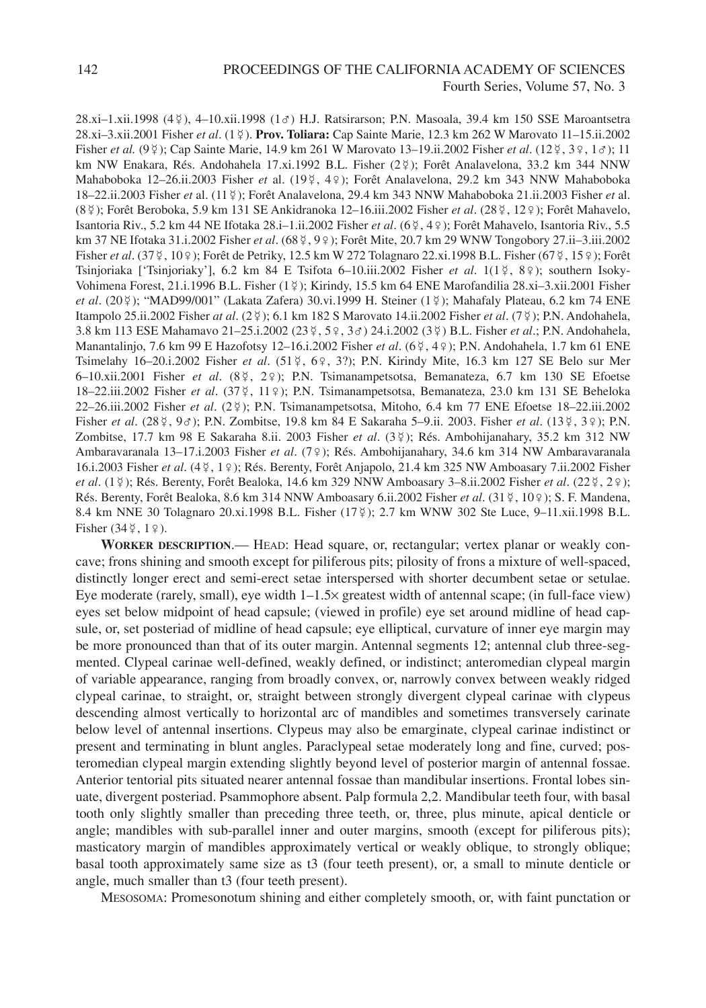28.xi–1.xii.1998 (4 ), 4–10.xii.1998 (1♂) H.J. Ratsirarson; P.N. Masoala, 39.4 km 150 SSE Maroantsetra 28.xi–3.xii.2001 Fisher *et al*. (1 ). **Prov. Toliara:** Cap Sainte Marie, 12.3 km 262 W Marovato 11–15.ii.2002 Fisher *et al.* (9 \tip); Cap Sainte Marie, 14.9 km 261 W Marovato 13–19.ii.2002 Fisher *et al.* (12 \tip, 3 \tip, 13); 11 km NW Enakara, Rés. Andohahela 17.xi.1992 B.L. Fisher (2\fi); Forêt Analavelona, 33.2 km 344 NNW Mahaboboka 12–26.ii.2003 Fisher *et* al. (19 , 4♀); Forêt Analavelona, 29.2 km 343 NNW Mahaboboka 18–22.ii.2003 Fisher *et* al. (11 ); Forêt Analavelona, 29.4 km 343 NNW Mahaboboka 21.ii.2003 Fisher *et* al. (8 ); Forêt Beroboka, 5.9 km 131 SE Ankidranoka 12–16.iii.2002 Fisher *et al*. (28 , 12♀); Forêt Mahavelo, Isantoria Riv., 5.2 km 44 NE Ifotaka 28.i–1.ii.2002 Fisher *et al*. (6 , 4♀); Forêt Mahavelo, Isantoria Riv., 5.5 km 37 NE Ifotaka 31.i.2002 Fisher *et al.* (68 ¥, 9 º); Forêt Mite, 20.7 km 29 WNW Tongobory 27.ii–3.iii.2002 Fisher *et al.* (37 ¥, 10 º); Forêt de Petriky, 12.5 km W 272 Tolagnaro 22.xi.1998 B.L. Fisher (67 ₹, 15 º); Forêt Tsinjoriaka ['Tsinjoriaky'], 6.2 km 84 E Tsifota 6–10.iii.2002 Fisher *et al*. 1(1 , 8♀); southern Isoky-Vohimena Forest, 21.i.1996 B.L. Fisher (1\2); Kirindy, 15.5 km 64 ENE Marofandilia 28.xi-3.xii.2001 Fisher et al. (20\pmat); "MAD99/001" (Lakata Zafera) 30.vi.1999 H. Steiner (1\pmat) ; Mahafaly Plateau, 6.2 km 74 ENE Itampolo 25.ii.2002 Fisher *at al*. (2 ); 6.1 km 182 S Marovato 14.ii.2002 Fisher *et al*. (7 ); P.N. Andohahela, 3.8 km 113 ESE Mahamavo 21–25.i.2002 (23 , 5♀, 3♂) 24.i.2002 (3 ) B.L. Fisher *et al*.; P.N. Andohahela, Manantalinjo, 7.6 km 99 E Hazofotsy 12–16.i.2002 Fisher *et al*. (6 , 4♀); P.N. Andohahela, 1.7 km 61 ENE Tsimelahy 16–20.i.2002 Fisher *et al*. (51 , 6♀, 3?); P.N. Kirindy Mite, 16.3 km 127 SE Belo sur Mer 6–10.xii.2001 Fisher *et al*. (8 , 2♀); P.N. Tsimanampetsotsa, Bemanateza, 6.7 km 130 SE Efoetse 18–22.iii.2002 Fisher *et al*. (37 , 11♀); P.N. Tsimanampetsotsa, Bemanateza, 23.0 km 131 SE Beheloka 22–26.iii.2002 Fisher *et al*. (2 ); P.N. Tsimanampetsotsa, Mitoho, 6.4 km 77 ENE Efoetse 18–22.iii.2002 Fisher *et al.* (28 ¤, 9σ); P.N. Zombitse, 19.8 km 84 E Sakaraha 5–9.ii. 2003. Fisher *et al.* (13 ≥, 3 ≥); P.N. Zombitse, 17.7 km 98 E Sakaraha 8.ii. 2003 Fisher *et al*. (3 ); Rés. Ambohijanahary, 35.2 km 312 NW Ambaravaranala 13–17.i.2003 Fisher *et al*. (7♀); Rés. Ambohijanahary, 34.6 km 314 NW Ambaravaranala 16.i.2003 Fisher *et al*. (4 , 1♀); Rés. Berenty, Forêt Anjapolo, 21.4 km 325 NW Amboasary 7.ii.2002 Fisher *et al.* (1\2); Rés. Berenty, Forêt Bealoka, 14.6 km 329 NNW Amboasary 3-8.ii.2002 Fisher *et al.* (22 \cat), 2 \cat); Rés. Berenty, Forêt Bealoka, 8.6 km 314 NNW Amboasary 6.ii.2002 Fisher et al. (31 ¥, 10 º); S. F. Mandena, 8.4 km NNE 30 Tolagnaro 20.xi.1998 B.L. Fisher (17 ); 2.7 km WNW 302 Ste Luce, 9–11.xii.1998 B.L. Fisher  $(34\frac{8}{7}, 1\frac{9}{7})$ .

**WORKER DESCRIPTION**.— HEAD: Head square, or, rectangular; vertex planar or weakly concave; frons shining and smooth except for piliferous pits; pilosity of frons a mixture of well-spaced, distinctly longer erect and semi-erect setae interspersed with shorter decumbent setae or setulae. Eye moderate (rarely, small), eye width 1–1.5× greatest width of antennal scape; (in full-face view) eyes set below midpoint of head capsule; (viewed in profile) eye set around midline of head capsule, or, set posteriad of midline of head capsule; eye elliptical, curvature of inner eye margin may be more pronounced than that of its outer margin. Antennal segments 12; antennal club three-segmented. Clypeal carinae well-defined, weakly defined, or indistinct; anteromedian clypeal margin of variable appearance, ranging from broadly convex, or, narrowly convex between weakly ridged clypeal carinae, to straight, or, straight between strongly divergent clypeal carinae with clypeus descending almost vertically to horizontal arc of mandibles and sometimes transversely carinate below level of antennal insertions. Clypeus may also be emarginate, clypeal carinae indistinct or present and terminating in blunt angles. Paraclypeal setae moderately long and fine, curved; posteromedian clypeal margin extending slightly beyond level of posterior margin of antennal fossae. Anterior tentorial pits situated nearer antennal fossae than mandibular insertions. Frontal lobes sinuate, divergent posteriad. Psammophore absent. Palp formula 2,2. Mandibular teeth four, with basal tooth only slightly smaller than preceding three teeth, or, three, plus minute, apical denticle or angle; mandibles with sub-parallel inner and outer margins, smooth (except for piliferous pits); masticatory margin of mandibles approximately vertical or weakly oblique, to strongly oblique; basal tooth approximately same size as t3 (four teeth present), or, a small to minute denticle or angle, much smaller than t3 (four teeth present).

MESOSOMA: Promesonotum shining and either completely smooth, or, with faint punctation or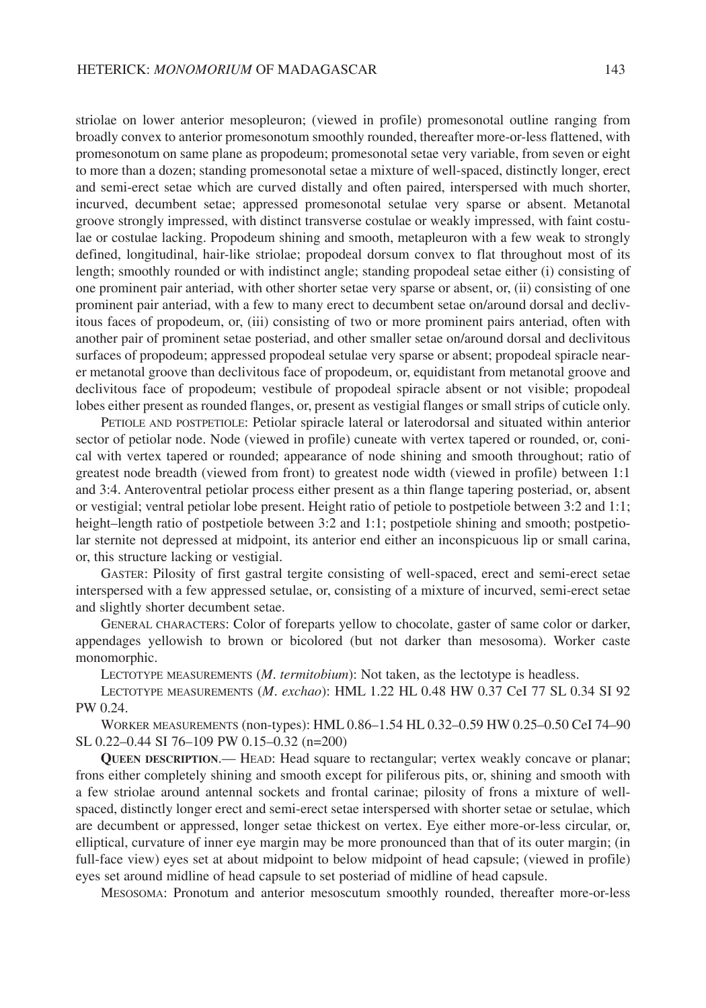striolae on lower anterior mesopleuron; (viewed in profile) promesonotal outline ranging from broadly convex to anterior promesonotum smoothly rounded, thereafter more-or-less flattened, with promesonotum on same plane as propodeum; promesonotal setae very variable, from seven or eight to more than a dozen; standing promesonotal setae a mixture of well-spaced, distinctly longer, erect and semi-erect setae which are curved distally and often paired, interspersed with much shorter, incurved, decumbent setae; appressed promesonotal setulae very sparse or absent. Metanotal groove strongly impressed, with distinct transverse costulae or weakly impressed, with faint costulae or costulae lacking. Propodeum shining and smooth, metapleuron with a few weak to strongly defined, longitudinal, hair-like striolae; propodeal dorsum convex to flat throughout most of its length; smoothly rounded or with indistinct angle; standing propodeal setae either (i) consisting of one prominent pair anteriad, with other shorter setae very sparse or absent, or, (ii) consisting of one prominent pair anteriad, with a few to many erect to decumbent setae on/around dorsal and declivitous faces of propodeum, or, (iii) consisting of two or more prominent pairs anteriad, often with another pair of prominent setae posteriad, and other smaller setae on/around dorsal and declivitous surfaces of propodeum; appressed propodeal setulae very sparse or absent; propodeal spiracle nearer metanotal groove than declivitous face of propodeum, or, equidistant from metanotal groove and declivitous face of propodeum; vestibule of propodeal spiracle absent or not visible; propodeal lobes either present as rounded flanges, or, present as vestigial flanges or small strips of cuticle only.

PETIOLE AND POSTPETIOLE: Petiolar spiracle lateral or laterodorsal and situated within anterior sector of petiolar node. Node (viewed in profile) cuneate with vertex tapered or rounded, or, conical with vertex tapered or rounded; appearance of node shining and smooth throughout; ratio of greatest node breadth (viewed from front) to greatest node width (viewed in profile) between 1:1 and 3:4. Anteroventral petiolar process either present as a thin flange tapering posteriad, or, absent or vestigial; ventral petiolar lobe present. Height ratio of petiole to postpetiole between 3:2 and 1:1; height–length ratio of postpetiole between 3:2 and 1:1; postpetiole shining and smooth; postpetiolar sternite not depressed at midpoint, its anterior end either an inconspicuous lip or small carina, or, this structure lacking or vestigial.

GASTER: Pilosity of first gastral tergite consisting of well-spaced, erect and semi-erect setae interspersed with a few appressed setulae, or, consisting of a mixture of incurved, semi-erect setae and slightly shorter decumbent setae.

GENERAL CHARACTERS: Color of foreparts yellow to chocolate, gaster of same color or darker, appendages yellowish to brown or bicolored (but not darker than mesosoma). Worker caste monomorphic.

LECTOTYPE MEASUREMENTS (*M*. *termitobium*): Not taken, as the lectotype is headless.

LECTOTYPE MEASUREMENTS (*M*. *exchao*): HML 1.22 HL 0.48 HW 0.37 CeI 77 SL 0.34 SI 92 PW 0.24.

WORKER MEASUREMENTS (non-types): HML 0.86–1.54 HL 0.32–0.59 HW 0.25–0.50 CeI 74–90 SL 0.22–0.44 SI 76–109 PW 0.15–0.32 (n=200)

**QUEEN DESCRIPTION**.— HEAD: Head square to rectangular; vertex weakly concave or planar; frons either completely shining and smooth except for piliferous pits, or, shining and smooth with a few striolae around antennal sockets and frontal carinae; pilosity of frons a mixture of wellspaced, distinctly longer erect and semi-erect setae interspersed with shorter setae or setulae, which are decumbent or appressed, longer setae thickest on vertex. Eye either more-or-less circular, or, elliptical, curvature of inner eye margin may be more pronounced than that of its outer margin; (in full-face view) eyes set at about midpoint to below midpoint of head capsule; (viewed in profile) eyes set around midline of head capsule to set posteriad of midline of head capsule.

MESOSOMA: Pronotum and anterior mesoscutum smoothly rounded, thereafter more-or-less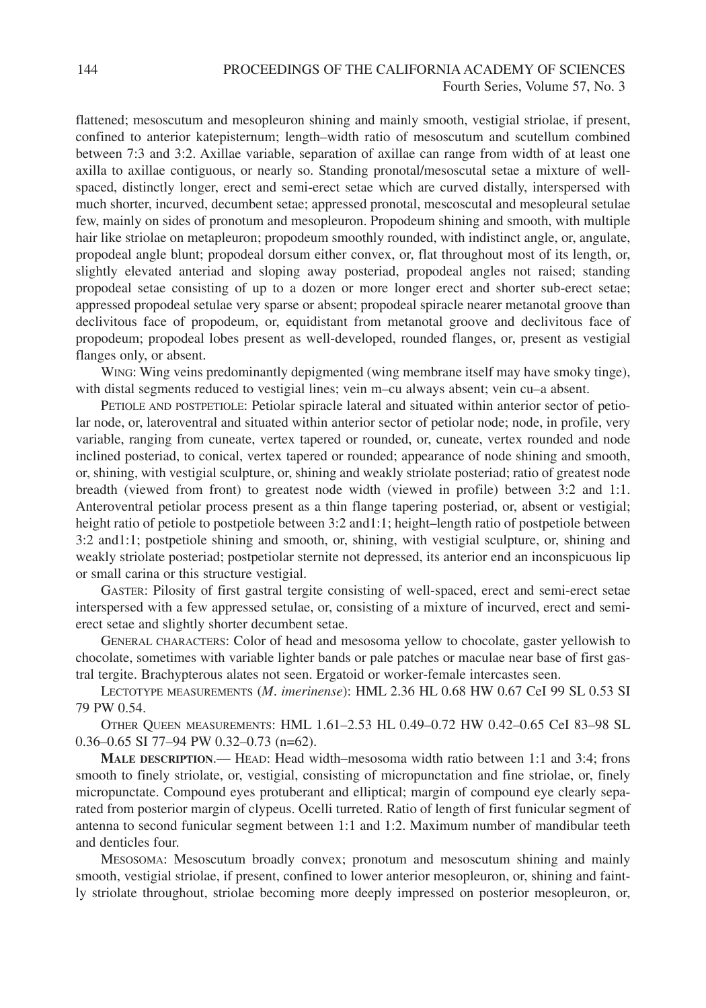flattened; mesoscutum and mesopleuron shining and mainly smooth, vestigial striolae, if present, confined to anterior katepisternum; length–width ratio of mesoscutum and scutellum combined between 7:3 and 3:2. Axillae variable, separation of axillae can range from width of at least one axilla to axillae contiguous, or nearly so. Standing pronotal/mesoscutal setae a mixture of wellspaced, distinctly longer, erect and semi-erect setae which are curved distally, interspersed with much shorter, incurved, decumbent setae; appressed pronotal, mescoscutal and mesopleural setulae few, mainly on sides of pronotum and mesopleuron. Propodeum shining and smooth, with multiple hair like striolae on metapleuron; propodeum smoothly rounded, with indistinct angle, or, angulate, propodeal angle blunt; propodeal dorsum either convex, or, flat throughout most of its length, or, slightly elevated anteriad and sloping away posteriad, propodeal angles not raised; standing propodeal setae consisting of up to a dozen or more longer erect and shorter sub-erect setae; appressed propodeal setulae very sparse or absent; propodeal spiracle nearer metanotal groove than declivitous face of propodeum, or, equidistant from metanotal groove and declivitous face of propodeum; propodeal lobes present as well-developed, rounded flanges, or, present as vestigial flanges only, or absent.

WING: Wing veins predominantly depigmented (wing membrane itself may have smoky tinge), with distal segments reduced to vestigial lines; vein m–cu always absent; vein cu–a absent.

PETIOLE AND POSTPETIOLE: Petiolar spiracle lateral and situated within anterior sector of petiolar node, or, lateroventral and situated within anterior sector of petiolar node; node, in profile, very variable, ranging from cuneate, vertex tapered or rounded, or, cuneate, vertex rounded and node inclined posteriad, to conical, vertex tapered or rounded; appearance of node shining and smooth, or, shining, with vestigial sculpture, or, shining and weakly striolate posteriad; ratio of greatest node breadth (viewed from front) to greatest node width (viewed in profile) between 3:2 and 1:1. Anteroventral petiolar process present as a thin flange tapering posteriad, or, absent or vestigial; height ratio of petiole to postpetiole between 3:2 and1:1; height–length ratio of postpetiole between 3:2 and1:1; postpetiole shining and smooth, or, shining, with vestigial sculpture, or, shining and weakly striolate posteriad; postpetiolar sternite not depressed, its anterior end an inconspicuous lip or small carina or this structure vestigial.

GASTER: Pilosity of first gastral tergite consisting of well-spaced, erect and semi-erect setae interspersed with a few appressed setulae, or, consisting of a mixture of incurved, erect and semierect setae and slightly shorter decumbent setae.

GENERAL CHARACTERS: Color of head and mesosoma yellow to chocolate, gaster yellowish to chocolate, sometimes with variable lighter bands or pale patches or maculae near base of first gastral tergite. Brachypterous alates not seen. Ergatoid or worker-female intercastes seen.

LECTOTYPE MEASUREMENTS (*M*. *imerinense*): HML 2.36 HL 0.68 HW 0.67 CeI 99 SL 0.53 SI 79 PW 0.54.

OTHER QUEEN MEASUREMENTS: HML 1.61–2.53 HL 0.49–0.72 HW 0.42–0.65 CeI 83–98 SL 0.36–0.65 SI 77–94 PW 0.32–0.73 (n=62).

**MALE DESCRIPTION**.— HEAD: Head width–mesosoma width ratio between 1:1 and 3:4; frons smooth to finely striolate, or, vestigial, consisting of micropunctation and fine striolae, or, finely micropunctate. Compound eyes protuberant and elliptical; margin of compound eye clearly separated from posterior margin of clypeus. Ocelli turreted. Ratio of length of first funicular segment of antenna to second funicular segment between 1:1 and 1:2. Maximum number of mandibular teeth and denticles four.

MESOSOMA: Mesoscutum broadly convex; pronotum and mesoscutum shining and mainly smooth, vestigial striolae, if present, confined to lower anterior mesopleuron, or, shining and faintly striolate throughout, striolae becoming more deeply impressed on posterior mesopleuron, or,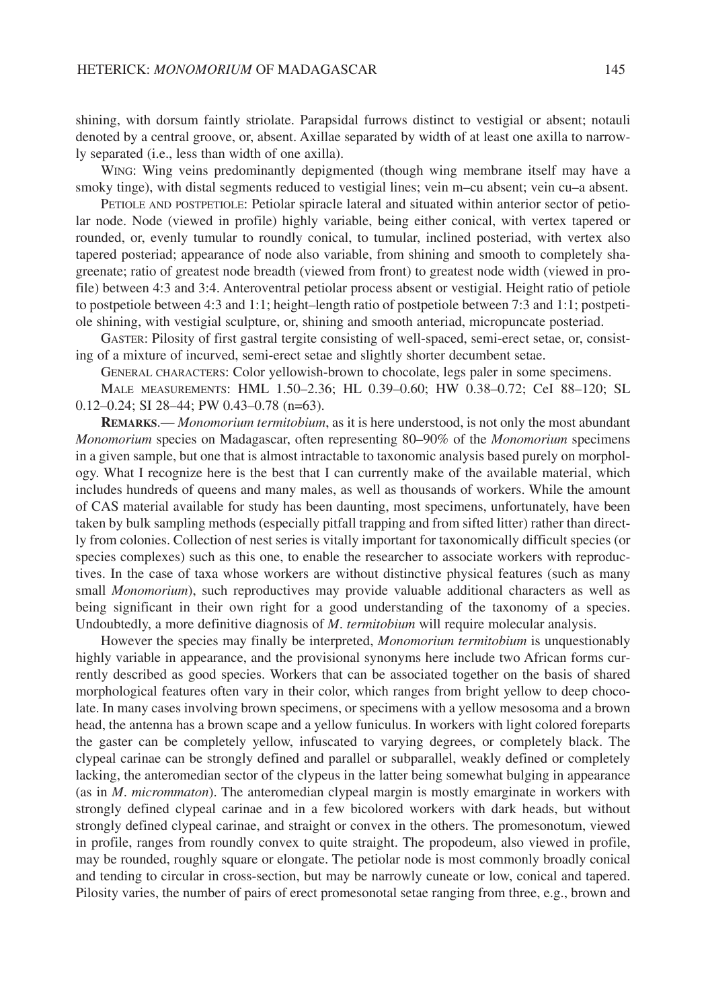shining, with dorsum faintly striolate. Parapsidal furrows distinct to vestigial or absent; notauli denoted by a central groove, or, absent. Axillae separated by width of at least one axilla to narrowly separated (i.e., less than width of one axilla).

WING: Wing veins predominantly depigmented (though wing membrane itself may have a smoky tinge), with distal segments reduced to vestigial lines; vein m–cu absent; vein cu–a absent.

PETIOLE AND POSTPETIOLE: Petiolar spiracle lateral and situated within anterior sector of petiolar node. Node (viewed in profile) highly variable, being either conical, with vertex tapered or rounded, or, evenly tumular to roundly conical, to tumular, inclined posteriad, with vertex also tapered posteriad; appearance of node also variable, from shining and smooth to completely shagreenate; ratio of greatest node breadth (viewed from front) to greatest node width (viewed in profile) between 4:3 and 3:4. Anteroventral petiolar process absent or vestigial. Height ratio of petiole to postpetiole between 4:3 and 1:1; height–length ratio of postpetiole between 7:3 and 1:1; postpetiole shining, with vestigial sculpture, or, shining and smooth anteriad, micropuncate posteriad.

GASTER: Pilosity of first gastral tergite consisting of well-spaced, semi-erect setae, or, consisting of a mixture of incurved, semi-erect setae and slightly shorter decumbent setae.

GENERAL CHARACTERS: Color yellowish-brown to chocolate, legs paler in some specimens. MALE MEASUREMENTS: HML 1.50–2.36; HL 0.39–0.60; HW 0.38–0.72; CeI 88–120; SL

0.12–0.24; SI 28–44; PW 0.43–0.78 (n=63).

**REMARKS**.— *Monomorium termitobium*, as it is here understood, is not only the most abundant *Monomorium* species on Madagascar, often representing 80–90% of the *Monomorium* specimens in a given sample, but one that is almost intractable to taxonomic analysis based purely on morphology. What I recognize here is the best that I can currently make of the available material, which includes hundreds of queens and many males, as well as thousands of workers. While the amount of CAS material available for study has been daunting, most specimens, unfortunately, have been taken by bulk sampling methods (especially pitfall trapping and from sifted litter) rather than directly from colonies. Collection of nest series is vitally important for taxonomically difficult species (or species complexes) such as this one, to enable the researcher to associate workers with reproductives. In the case of taxa whose workers are without distinctive physical features (such as many small *Monomorium*), such reproductives may provide valuable additional characters as well as being significant in their own right for a good understanding of the taxonomy of a species. Undoubtedly, a more definitive diagnosis of *M*. *termitobium* will require molecular analysis.

However the species may finally be interpreted, *Monomorium termitobium* is unquestionably highly variable in appearance, and the provisional synonyms here include two African forms currently described as good species. Workers that can be associated together on the basis of shared morphological features often vary in their color, which ranges from bright yellow to deep chocolate. In many cases involving brown specimens, or specimens with a yellow mesosoma and a brown head, the antenna has a brown scape and a yellow funiculus. In workers with light colored foreparts the gaster can be completely yellow, infuscated to varying degrees, or completely black. The clypeal carinae can be strongly defined and parallel or subparallel, weakly defined or completely lacking, the anteromedian sector of the clypeus in the latter being somewhat bulging in appearance (as in *M*. *micrommaton*). The anteromedian clypeal margin is mostly emarginate in workers with strongly defined clypeal carinae and in a few bicolored workers with dark heads, but without strongly defined clypeal carinae, and straight or convex in the others. The promesonotum, viewed in profile, ranges from roundly convex to quite straight. The propodeum, also viewed in profile, may be rounded, roughly square or elongate. The petiolar node is most commonly broadly conical and tending to circular in cross-section, but may be narrowly cuneate or low, conical and tapered. Pilosity varies, the number of pairs of erect promesonotal setae ranging from three, e.g., brown and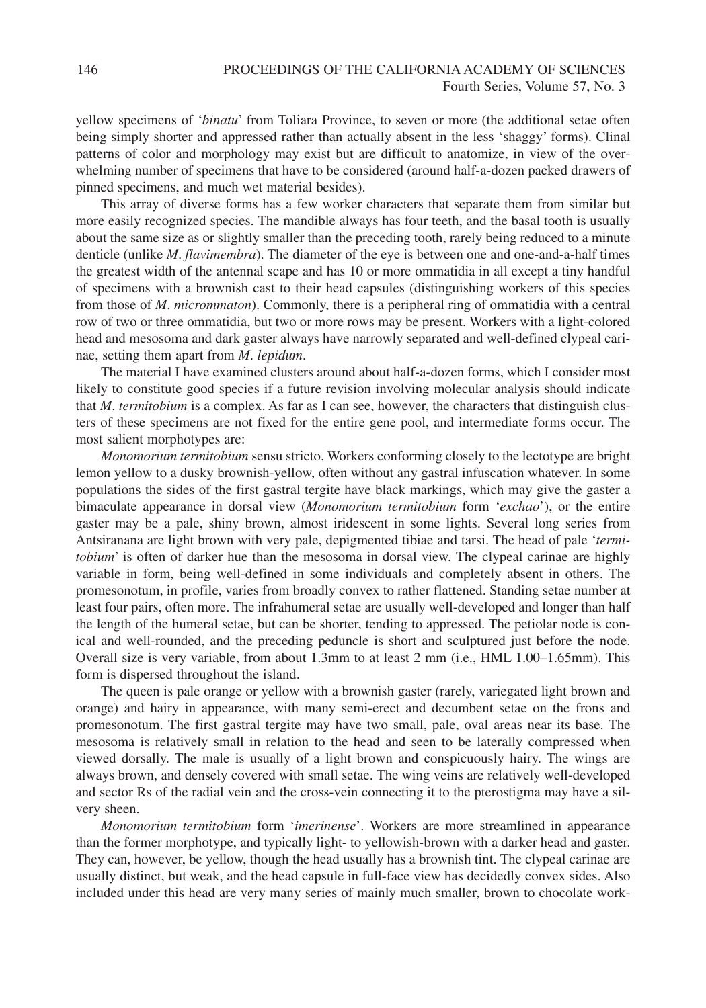yellow specimens of '*binatu*' from Toliara Province, to seven or more (the additional setae often being simply shorter and appressed rather than actually absent in the less 'shaggy' forms). Clinal patterns of color and morphology may exist but are difficult to anatomize, in view of the overwhelming number of specimens that have to be considered (around half-a-dozen packed drawers of pinned specimens, and much wet material besides).

This array of diverse forms has a few worker characters that separate them from similar but more easily recognized species. The mandible always has four teeth, and the basal tooth is usually about the same size as or slightly smaller than the preceding tooth, rarely being reduced to a minute denticle (unlike *M*. *flavimembra*). The diameter of the eye is between one and one-and-a-half times the greatest width of the antennal scape and has 10 or more ommatidia in all except a tiny handful of specimens with a brownish cast to their head capsules (distinguishing workers of this species from those of *M*. *micrommaton*). Commonly, there is a peripheral ring of ommatidia with a central row of two or three ommatidia, but two or more rows may be present. Workers with a light-colored head and mesosoma and dark gaster always have narrowly separated and well-defined clypeal carinae, setting them apart from *M*. *lepidum*.

The material I have examined clusters around about half-a-dozen forms, which I consider most likely to constitute good species if a future revision involving molecular analysis should indicate that *M*. *termitobium* is a complex. As far as I can see, however, the characters that distinguish clusters of these specimens are not fixed for the entire gene pool, and intermediate forms occur. The most salient morphotypes are:

*Monomorium termitobium* sensu stricto. Workers conforming closely to the lectotype are bright lemon yellow to a dusky brownish-yellow, often without any gastral infuscation whatever. In some populations the sides of the first gastral tergite have black markings, which may give the gaster a bimaculate appearance in dorsal view (*Monomorium termitobium* form '*exchao*'), or the entire gaster may be a pale, shiny brown, almost iridescent in some lights. Several long series from Antsiranana are light brown with very pale, depigmented tibiae and tarsi. The head of pale '*termitobium*' is often of darker hue than the mesosoma in dorsal view. The clypeal carinae are highly variable in form, being well-defined in some individuals and completely absent in others. The promesonotum, in profile, varies from broadly convex to rather flattened. Standing setae number at least four pairs, often more. The infrahumeral setae are usually well-developed and longer than half the length of the humeral setae, but can be shorter, tending to appressed. The petiolar node is conical and well-rounded, and the preceding peduncle is short and sculptured just before the node. Overall size is very variable, from about 1.3mm to at least 2 mm (i.e., HML 1.00–1.65mm). This form is dispersed throughout the island.

The queen is pale orange or yellow with a brownish gaster (rarely, variegated light brown and orange) and hairy in appearance, with many semi-erect and decumbent setae on the frons and promesonotum. The first gastral tergite may have two small, pale, oval areas near its base. The mesosoma is relatively small in relation to the head and seen to be laterally compressed when viewed dorsally. The male is usually of a light brown and conspicuously hairy. The wings are always brown, and densely covered with small setae. The wing veins are relatively well-developed and sector Rs of the radial vein and the cross-vein connecting it to the pterostigma may have a silvery sheen.

*Monomorium termitobium* form '*imerinense*'. Workers are more streamlined in appearance than the former morphotype, and typically light- to yellowish-brown with a darker head and gaster. They can, however, be yellow, though the head usually has a brownish tint. The clypeal carinae are usually distinct, but weak, and the head capsule in full-face view has decidedly convex sides. Also included under this head are very many series of mainly much smaller, brown to chocolate work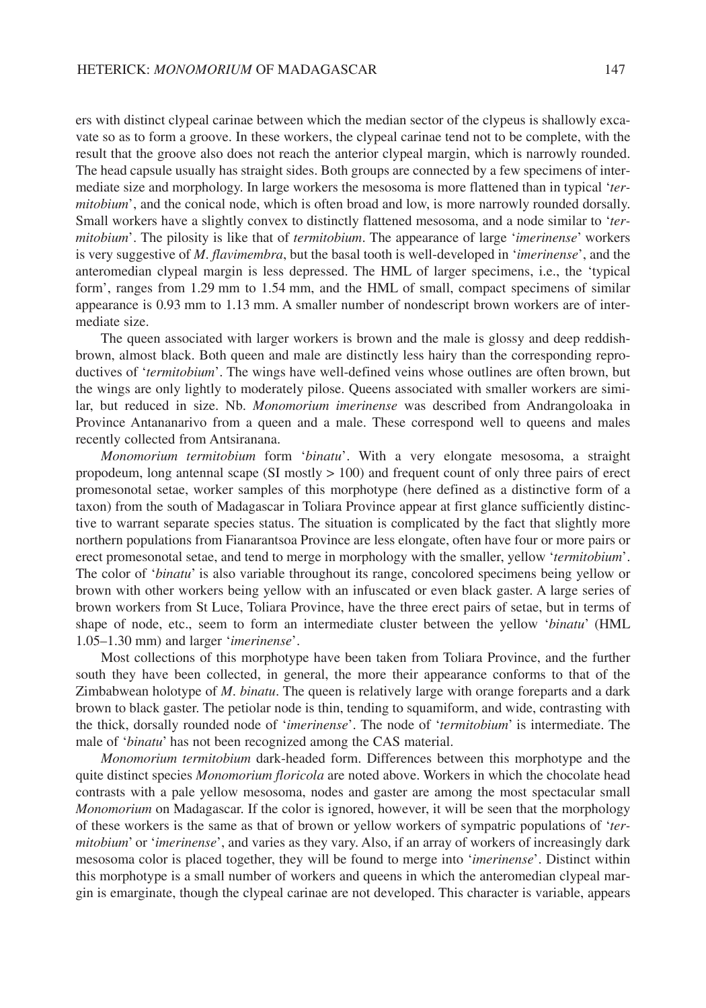ers with distinct clypeal carinae between which the median sector of the clypeus is shallowly excavate so as to form a groove. In these workers, the clypeal carinae tend not to be complete, with the result that the groove also does not reach the anterior clypeal margin, which is narrowly rounded. The head capsule usually has straight sides. Both groups are connected by a few specimens of intermediate size and morphology. In large workers the mesosoma is more flattened than in typical '*termitobium*', and the conical node, which is often broad and low, is more narrowly rounded dorsally. Small workers have a slightly convex to distinctly flattened mesosoma, and a node similar to '*termitobium*'. The pilosity is like that of *termitobium*. The appearance of large '*imerinense*' workers is very suggestive of *M*. *flavimembra*, but the basal tooth is well-developed in '*imerinense*', and the anteromedian clypeal margin is less depressed. The HML of larger specimens, i.e., the 'typical form', ranges from 1.29 mm to 1.54 mm, and the HML of small, compact specimens of similar appearance is 0.93 mm to 1.13 mm. A smaller number of nondescript brown workers are of intermediate size.

The queen associated with larger workers is brown and the male is glossy and deep reddishbrown, almost black. Both queen and male are distinctly less hairy than the corresponding reproductives of '*termitobium*'. The wings have well-defined veins whose outlines are often brown, but the wings are only lightly to moderately pilose. Queens associated with smaller workers are similar, but reduced in size. Nb. *Monomorium imerinense* was described from Andrangoloaka in Province Antananarivo from a queen and a male. These correspond well to queens and males recently collected from Antsiranana.

*Monomorium termitobium* form '*binatu*'. With a very elongate mesosoma, a straight propodeum, long antennal scape (SI mostly > 100) and frequent count of only three pairs of erect promesonotal setae, worker samples of this morphotype (here defined as a distinctive form of a taxon) from the south of Madagascar in Toliara Province appear at first glance sufficiently distinctive to warrant separate species status. The situation is complicated by the fact that slightly more northern populations from Fianarantsoa Province are less elongate, often have four or more pairs or erect promesonotal setae, and tend to merge in morphology with the smaller, yellow '*termitobium*'. The color of '*binatu*' is also variable throughout its range, concolored specimens being yellow or brown with other workers being yellow with an infuscated or even black gaster. A large series of brown workers from St Luce, Toliara Province, have the three erect pairs of setae, but in terms of shape of node, etc., seem to form an intermediate cluster between the yellow '*binatu*' (HML 1.05–1.30 mm) and larger '*imerinense*'.

Most collections of this morphotype have been taken from Toliara Province, and the further south they have been collected, in general, the more their appearance conforms to that of the Zimbabwean holotype of *M*. *binatu*. The queen is relatively large with orange foreparts and a dark brown to black gaster. The petiolar node is thin, tending to squamiform, and wide, contrasting with the thick, dorsally rounded node of '*imerinense*'. The node of '*termitobium*' is intermediate. The male of '*binatu*' has not been recognized among the CAS material.

*Monomorium termitobium* dark-headed form. Differences between this morphotype and the quite distinct species *Monomorium floricola* are noted above. Workers in which the chocolate head contrasts with a pale yellow mesosoma, nodes and gaster are among the most spectacular small *Monomorium* on Madagascar. If the color is ignored, however, it will be seen that the morphology of these workers is the same as that of brown or yellow workers of sympatric populations of '*termitobium*' or '*imerinense*', and varies as they vary. Also, if an array of workers of increasingly dark mesosoma color is placed together, they will be found to merge into '*imerinense*'. Distinct within this morphotype is a small number of workers and queens in which the anteromedian clypeal margin is emarginate, though the clypeal carinae are not developed. This character is variable, appears